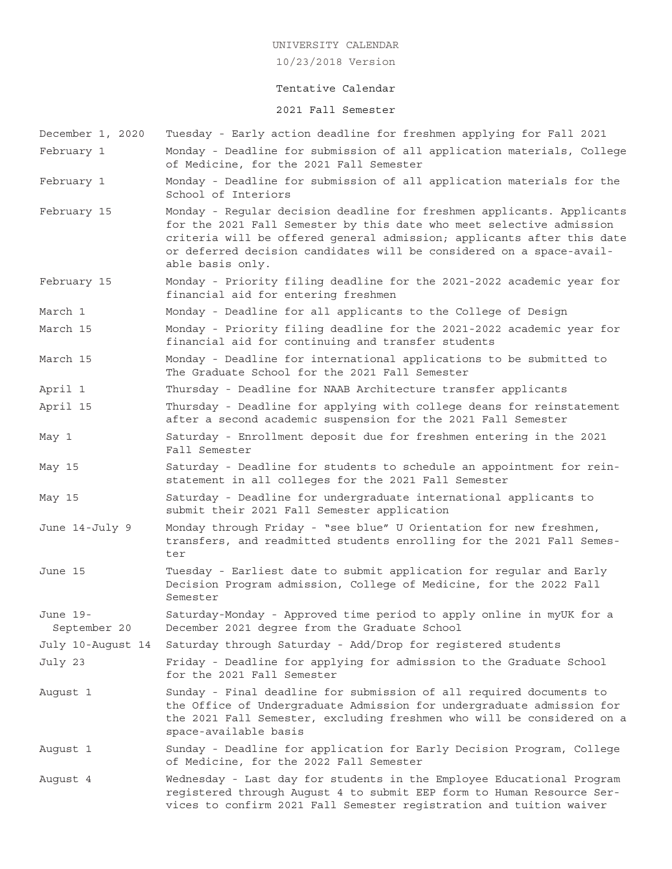10/23/2018 Version

#### Tentative Calendar

#### 2021 Fall Semester

- December 1, 2020 Tuesday Early action deadline for freshmen applying for Fall 2021 February 1 Monday - Deadline for submission of all application materials, College of Medicine, for the 2021 Fall Semester February 1 Monday - Deadline for submission of all application materials for the School of Interiors February 15 Monday - Regular decision deadline for freshmen applicants. Applicants for the 2021 Fall Semester by this date who meet selective admission criteria will be offered general admission; applicants after this date or deferred decision candidates will be considered on a space-available basis only. February 15 Monday - Priority filing deadline for the 2021-2022 academic year for financial aid for entering freshmen March 1 Monday - Deadline for all applicants to the College of Design March 15 Monday - Priority filing deadline for the 2021-2022 academic year for financial aid for continuing and transfer students March 15 Monday - Deadline for international applications to be submitted to The Graduate School for the 2021 Fall Semester April 1 Thursday - Deadline for NAAB Architecture transfer applicants April 15 Thursday - Deadline for applying with college deans for reinstatement after a second academic suspension for the 2021 Fall Semester May 1 Saturday - Enrollment deposit due for freshmen entering in the 2021 Fall Semester May 15 Saturday - Deadline for students to schedule an appointment for reinstatement in all colleges for the 2021 Fall Semester May 15 Saturday - Deadline for undergraduate international applicants to submit their 2021 Fall Semester application June 14-July 9 Monday through Friday - "see blue" U Orientation for new freshmen, transfers, and readmitted students enrolling for the 2021 Fall Semester June 15 Tuesday - Earliest date to submit application for regular and Early Decision Program admission, College of Medicine, for the 2022 Fall Semester June 19- Saturday-Monday - Approved time period to apply online in myUK for a September 20 December 2021 degree from the Graduate School July 10-August 14 Saturday through Saturday - Add/Drop for registered students July 23 Friday - Deadline for applying for admission to the Graduate School for the 2021 Fall Semester August 1 Sunday - Final deadline for submission of all required documents to the Office of Undergraduate Admission for undergraduate admission for the 2021 Fall Semester, excluding freshmen who will be considered on a space-available basis August 1 Sunday - Deadline for application for Early Decision Program, College of Medicine, for the 2022 Fall Semester August 4 Wednesday - Last day for students in the Employee Educational Program
- registered through August 4 to submit EEP form to Human Resource Services to confirm 2021 Fall Semester registration and tuition waiver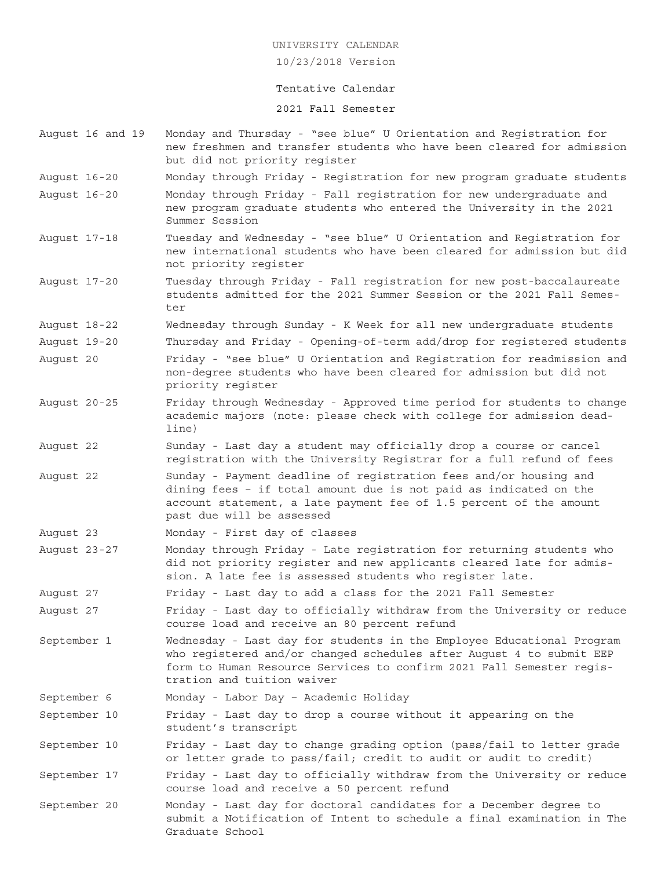10/23/2018 Version

#### Tentative Calendar

2021 Fall Semester

- August 16 and 19 Monday and Thursday "see blue" U Orientation and Registration for new freshmen and transfer students who have been cleared for admission but did not priority register
- August 16-20 Monday through Friday Registration for new program graduate students
- August 16-20 Monday through Friday Fall registration for new undergraduate and new program graduate students who entered the University in the 2021 Summer Session
- August 17-18 Tuesday and Wednesday "see blue" U Orientation and Registration for new international students who have been cleared for admission but did not priority register
- August 17-20 Tuesday through Friday Fall registration for new post-baccalaureate students admitted for the 2021 Summer Session or the 2021 Fall Semester
- August 18-22 Wednesday through Sunday K Week for all new undergraduate students
- August 19-20 Thursday and Friday Opening-of-term add/drop for registered students August 20 Friday - "see blue" U Orientation and Registration for readmission and non-degree students who have been cleared for admission but did not priority register
- August 20-25 Friday through Wednesday Approved time period for students to change academic majors (note: please check with college for admission deadline)
- August 22 Sunday Last day a student may officially drop a course or cancel registration with the University Registrar for a full refund of fees
- August 22 Sunday Payment deadline of registration fees and/or housing and dining fees – if total amount due is not paid as indicated on the account statement, a late payment fee of 1.5 percent of the amount past due will be assessed
- August 23 Monday First day of classes
- August 23-27 Monday through Friday Late registration for returning students who did not priority register and new applicants cleared late for admission. A late fee is assessed students who register late.

August 27 Friday - Last day to add a class for the 2021 Fall Semester

August 27 Friday - Last day to officially withdraw from the University or reduce course load and receive an 80 percent refund

- September 1 Wednesday Last day for students in the Employee Educational Program who registered and/or changed schedules after August 4 to submit EEP form to Human Resource Services to confirm 2021 Fall Semester registration and tuition waiver
- September 6 Monday Labor Day Academic Holiday

September 10 Friday - Last day to drop a course without it appearing on the student's transcript

September 10 Friday - Last day to change grading option (pass/fail to letter grade or letter grade to pass/fail; credit to audit or audit to credit)

September 17 Friday - Last day to officially withdraw from the University or reduce course load and receive a 50 percent refund

September 20 Monday - Last day for doctoral candidates for a December degree to submit a Notification of Intent to schedule a final examination in The Graduate School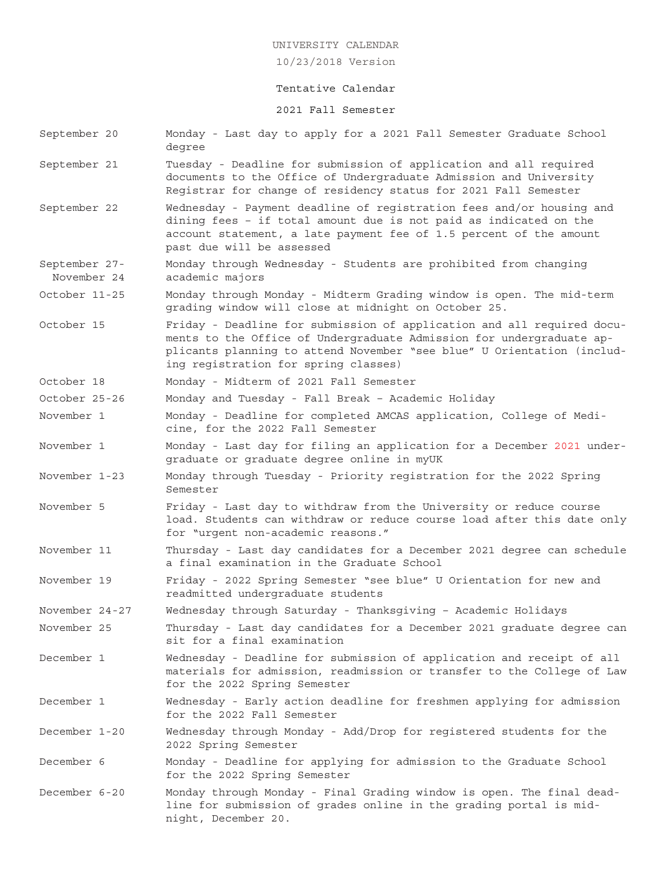10/23/2018 Version

#### Tentative Calendar

#### 2021 Fall Semester

September 20 Monday - Last day to apply for a 2021 Fall Semester Graduate School degree September 21 Tuesday - Deadline for submission of application and all required documents to the Office of Undergraduate Admission and University Registrar for change of residency status for 2021 Fall Semester September 22 Wednesday - Payment deadline of registration fees and/or housing and dining fees – if total amount due is not paid as indicated on the account statement, a late payment fee of 1.5 percent of the amount past due will be assessed September 27- Monday through Wednesday - Students are prohibited from changing November 24 academic majors October 11-25 Monday through Monday - Midterm Grading window is open. The mid-term grading window will close at midnight on October 25. October 15 Friday - Deadline for submission of application and all required documents to the Office of Undergraduate Admission for undergraduate applicants planning to attend November "see blue" U Orientation (including registration for spring classes) October 18 Monday - Midterm of 2021 Fall Semester October 25-26 Monday and Tuesday - Fall Break – Academic Holiday November 1 Monday - Deadline for completed AMCAS application, College of Medicine, for the 2022 Fall Semester November 1 Monday - Last day for filing an application for a December 2021 undergraduate or graduate degree online in myUK November 1-23 Monday through Tuesday - Priority registration for the 2022 Spring Semester November 5 Friday - Last day to withdraw from the University or reduce course load. Students can withdraw or reduce course load after this date only for "urgent non-academic reasons." November 11 Thursday - Last day candidates for a December 2021 degree can schedule a final examination in the Graduate School November 19 Friday - 2022 Spring Semester "see blue" U Orientation for new and readmitted undergraduate students November 24-27 Wednesday through Saturday - Thanksgiving – Academic Holidays November 25 Thursday - Last day candidates for a December 2021 graduate degree can sit for a final examination December 1 Wednesday - Deadline for submission of application and receipt of all materials for admission, readmission or transfer to the College of Law for the 2022 Spring Semester December 1 Wednesday - Early action deadline for freshmen applying for admission for the 2022 Fall Semester December 1-20 Wednesday through Monday - Add/Drop for registered students for the 2022 Spring Semester December 6 Monday - Deadline for applying for admission to the Graduate School for the 2022 Spring Semester December 6-20 Monday through Monday - Final Grading window is open. The final deadline for submission of grades online in the grading portal is mid-

night, December 20.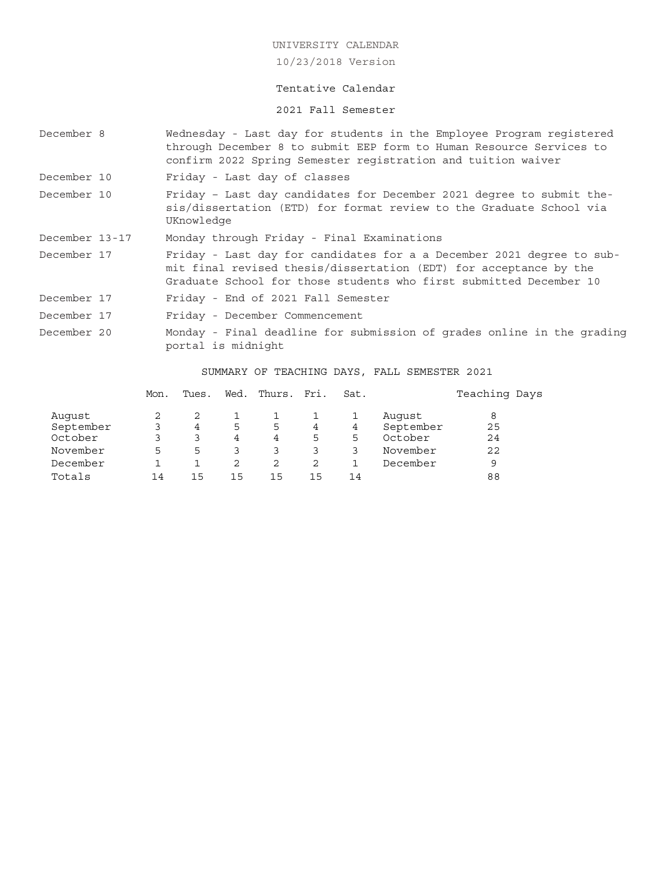10/23/2018 Version

### Tentative Calendar

2021 Fall Semester

| December 8                     |                                                                                              | Wednesday - Last day for students in the Employee Program registered<br>through December 8 to submit EEP form to Human Resource Services to<br>confirm 2022 Spring Semester registration and tuition waiver |                                                                                                                                                                                                                  |                          |                  |                           |             |                                              |               |  |  |  |
|--------------------------------|----------------------------------------------------------------------------------------------|-------------------------------------------------------------------------------------------------------------------------------------------------------------------------------------------------------------|------------------------------------------------------------------------------------------------------------------------------------------------------------------------------------------------------------------|--------------------------|------------------|---------------------------|-------------|----------------------------------------------|---------------|--|--|--|
| December 10                    |                                                                                              |                                                                                                                                                                                                             | Friday - Last day of classes                                                                                                                                                                                     |                          |                  |                           |             |                                              |               |  |  |  |
| December 10                    |                                                                                              |                                                                                                                                                                                                             | Friday - Last day candidates for December 2021 degree to submit the-<br>sis/dissertation (ETD) for format review to the Graduate School via<br>UKnowledge                                                        |                          |                  |                           |             |                                              |               |  |  |  |
| December 13-17                 |                                                                                              |                                                                                                                                                                                                             | Monday through Friday - Final Examinations                                                                                                                                                                       |                          |                  |                           |             |                                              |               |  |  |  |
| December 17                    |                                                                                              |                                                                                                                                                                                                             | Friday - Last day for candidates for a a December 2021 degree to sub-<br>mit final revised thesis/dissertation (EDT) for acceptance by the<br>Graduate School for those students who first submitted December 10 |                          |                  |                           |             |                                              |               |  |  |  |
| December 17                    |                                                                                              |                                                                                                                                                                                                             | Friday - End of 2021 Fall Semester                                                                                                                                                                               |                          |                  |                           |             |                                              |               |  |  |  |
| December 17                    |                                                                                              | Friday - December Commencement                                                                                                                                                                              |                                                                                                                                                                                                                  |                          |                  |                           |             |                                              |               |  |  |  |
| December 20                    | Monday - Final deadline for submission of grades online in the grading<br>portal is midnight |                                                                                                                                                                                                             |                                                                                                                                                                                                                  |                          |                  |                           |             |                                              |               |  |  |  |
|                                |                                                                                              |                                                                                                                                                                                                             |                                                                                                                                                                                                                  |                          |                  |                           |             | SUMMARY OF TEACHING DAYS, FALL SEMESTER 2021 |               |  |  |  |
|                                |                                                                                              | Mon.                                                                                                                                                                                                        | Tues.                                                                                                                                                                                                            |                          | Wed. Thurs. Fri. |                           | Sat.        |                                              | Teaching Days |  |  |  |
| Auqust<br>September<br>October |                                                                                              | 2<br>3<br>$\mathbf{3}$                                                                                                                                                                                      | 2<br>4<br>$\mathcal{L}$                                                                                                                                                                                          | 1<br>5<br>$\overline{4}$ | 1<br>5<br>4      | 1<br>$4\overline{ }$<br>5 | 1<br>4<br>5 | August<br>September<br>October               | 8<br>25<br>24 |  |  |  |

November 5533333 November 22 December 1 1 2 2 2 1 December 9 Totals 14 15 15 15 15 14 88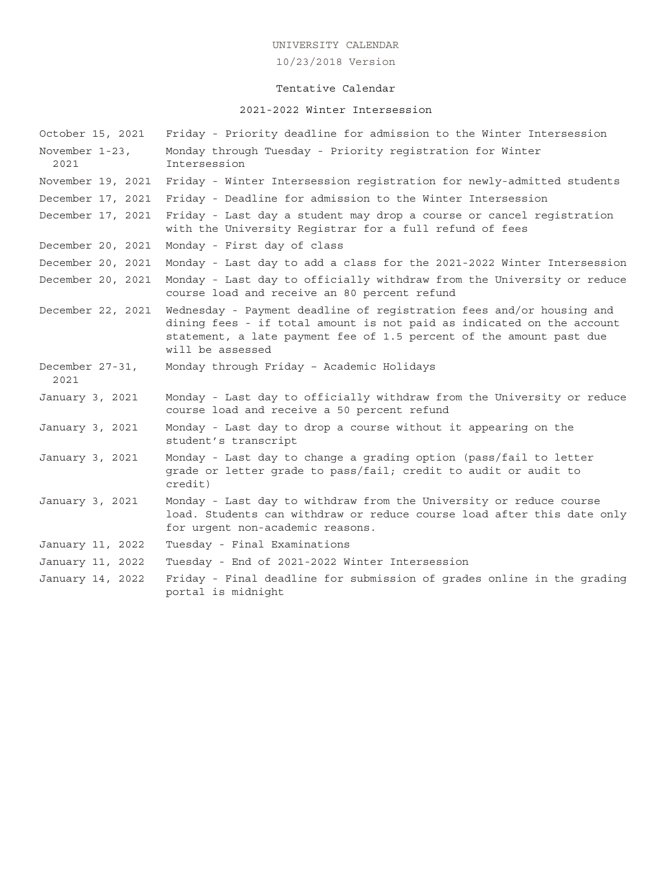10/23/2018 Version

# Tentative Calendar

# 2021-2022 Winter Intersession

| October 15, 2021        | Friday - Priority deadline for admission to the Winter Intersession                                                                                                                                                                      |
|-------------------------|------------------------------------------------------------------------------------------------------------------------------------------------------------------------------------------------------------------------------------------|
| November 1-23,<br>2021  | Monday through Tuesday - Priority registration for Winter<br>Intersession                                                                                                                                                                |
| November 19, 2021       | Friday - Winter Intersession registration for newly-admitted students                                                                                                                                                                    |
| December 17, 2021       | Friday - Deadline for admission to the Winter Intersession                                                                                                                                                                               |
| December 17, 2021       | Friday - Last day a student may drop a course or cancel registration<br>with the University Registrar for a full refund of fees                                                                                                          |
| December 20, 2021       | Monday - First day of class                                                                                                                                                                                                              |
| December 20, 2021       | Monday - Last day to add a class for the 2021-2022 Winter Intersession                                                                                                                                                                   |
| December 20, 2021       | Monday - Last day to officially withdraw from the University or reduce<br>course load and receive an 80 percent refund                                                                                                                   |
| December 22, 2021       | Wednesday - Payment deadline of registration fees and/or housing and<br>dining fees - if total amount is not paid as indicated on the account<br>statement, a late payment fee of 1.5 percent of the amount past due<br>will be assessed |
| December 27-31,<br>2021 | Monday through Friday - Academic Holidays                                                                                                                                                                                                |
| January 3, 2021         | Monday - Last day to officially withdraw from the University or reduce<br>course load and receive a 50 percent refund                                                                                                                    |
| January 3, 2021         | Monday - Last day to drop a course without it appearing on the<br>student's transcript                                                                                                                                                   |
| January 3, 2021         | Monday - Last day to change a grading option (pass/fail to letter<br>grade or letter grade to pass/fail; credit to audit or audit to<br>credit)                                                                                          |
| January 3, 2021         | Monday - Last day to withdraw from the University or reduce course<br>load. Students can withdraw or reduce course load after this date only<br>for urgent non-academic reasons.                                                         |
| January 11, 2022        | Tuesday - Final Examinations                                                                                                                                                                                                             |
| January 11, 2022        | Tuesday - End of 2021-2022 Winter Intersession                                                                                                                                                                                           |
| January 14, 2022        | Friday - Final deadline for submission of grades online in the grading<br>portal is midnight                                                                                                                                             |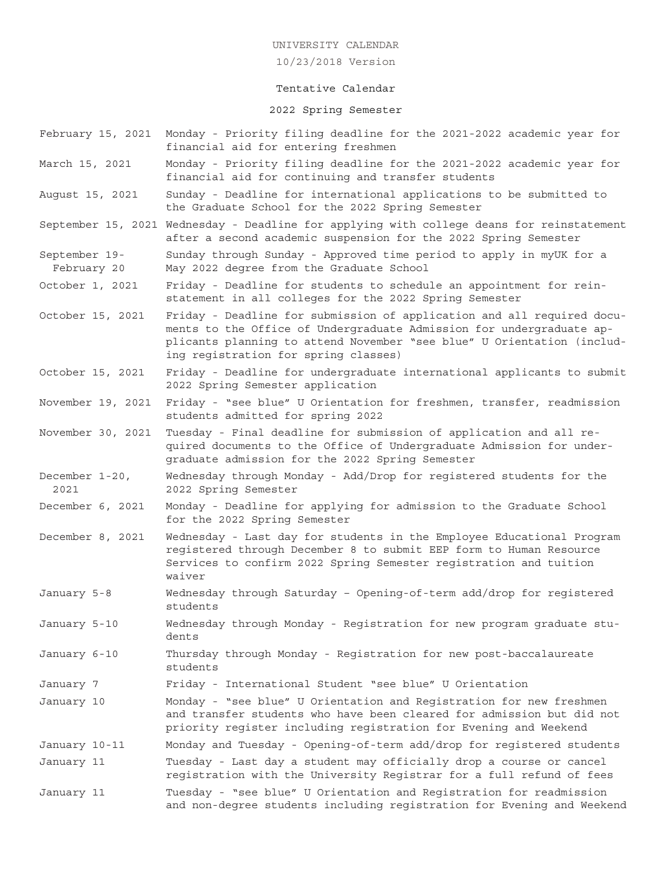#### 10/23/2018 Version

#### Tentative Calendar

#### 2022 Spring Semester

- February 15, 2021 Monday Priority filing deadline for the 2021-2022 academic year for financial aid for entering freshmen
- March 15, 2021 Monday Priority filing deadline for the 2021-2022 academic year for financial aid for continuing and transfer students
- August 15, 2021 Sunday Deadline for international applications to be submitted to the Graduate School for the 2022 Spring Semester
- September 15, 2021 Wednesday Deadline for applying with college deans for reinstatement after a second academic suspension for the 2022 Spring Semester
- September 19- Sunday through Sunday Approved time period to apply in myUK for a February 20 May 2022 degree from the Graduate School
- October 1, 2021 Friday Deadline for students to schedule an appointment for reinstatement in all colleges for the 2022 Spring Semester
- October 15, 2021 Friday Deadline for submission of application and all required documents to the Office of Undergraduate Admission for undergraduate applicants planning to attend November "see blue" U Orientation (including registration for spring classes)
- October 15, 2021 Friday Deadline for undergraduate international applicants to submit 2022 Spring Semester application
- November 19, 2021 Friday "see blue" U Orientation for freshmen, transfer, readmission students admitted for spring 2022
- November 30, 2021 Tuesday Final deadline for submission of application and all required documents to the Office of Undergraduate Admission for undergraduate admission for the 2022 Spring Semester
- December 1-20, Wednesday through Monday Add/Drop for registered students for the 2021 2022 Spring Semester
- December 6, 2021 Monday Deadline for applying for admission to the Graduate School for the 2022 Spring Semester
- December 8, 2021 Wednesday Last day for students in the Employee Educational Program registered through December 8 to submit EEP form to Human Resource Services to confirm 2022 Spring Semester registration and tuition waiver
- January 5-8 Wednesday through Saturday Opening-of-term add/drop for registered students
- January 5-10 Wednesday through Monday Registration for new program graduate students
- January 6-10 Thursday through Monday Registration for new post-baccalaureate students
- January 7 Friday International Student "see blue" U Orientation
- January 10 Monday "see blue" U Orientation and Registration for new freshmen and transfer students who have been cleared for admission but did not priority register including registration for Evening and Weekend
- January 10-11 Monday and Tuesday Opening-of-term add/drop for registered students January 11 Tuesday - Last day a student may officially drop a course or cancel
- registration with the University Registrar for a full refund of fees
- January 11 Tuesday "see blue" U Orientation and Registration for readmission and non-degree students including registration for Evening and Weekend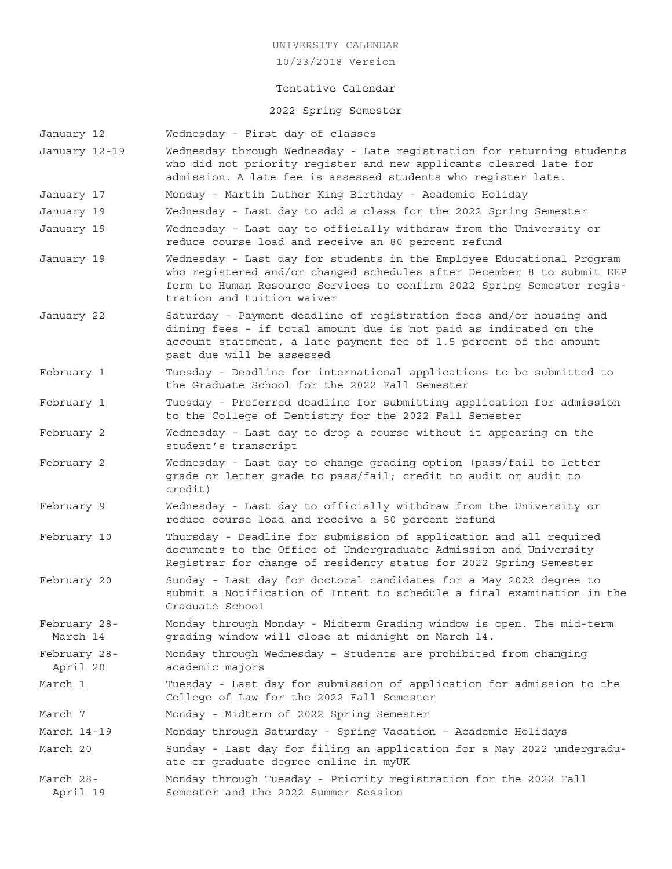10/23/2018 Version

#### Tentative Calendar

#### 2022 Spring Semester

- January 12 Wednesday First day of classes
- January 12-19 Wednesday through Wednesday Late registration for returning students who did not priority register and new applicants cleared late for admission. A late fee is assessed students who register late.
- January 17 Monday Martin Luther King Birthday Academic Holiday
- January 19 Wednesday Last day to add a class for the 2022 Spring Semester
- January 19 Wednesday Last day to officially withdraw from the University or reduce course load and receive an 80 percent refund
- January 19 Wednesday Last day for students in the Employee Educational Program who registered and/or changed schedules after December 8 to submit EEP form to Human Resource Services to confirm 2022 Spring Semester registration and tuition waiver
- January 22 Saturday Payment deadline of registration fees and/or housing and dining fees – if total amount due is not paid as indicated on the account statement, a late payment fee of 1.5 percent of the amount past due will be assessed
- February 1 Tuesday Deadline for international applications to be submitted to the Graduate School for the 2022 Fall Semester
- February 1 Tuesday Preferred deadline for submitting application for admission to the College of Dentistry for the 2022 Fall Semester
- February 2 Wednesday Last day to drop a course without it appearing on the student's transcript
- February 2 Wednesday Last day to change grading option (pass/fail to letter grade or letter grade to pass/fail; credit to audit or audit to credit)
- February 9 Wednesday Last day to officially withdraw from the University or reduce course load and receive a 50 percent refund
- February 10 Thursday Deadline for submission of application and all required documents to the Office of Undergraduate Admission and University Registrar for change of residency status for 2022 Spring Semester
- February 20 Sunday Last day for doctoral candidates for a May 2022 degree to submit a Notification of Intent to schedule a final examination in the Graduate School
- February 28- Monday through Monday Midterm Grading window is open. The mid-term March 14 grading window will close at midnight on March 14.
- February 28- Monday through Wednesday Students are prohibited from changing April 20 academic majors
- March 1 Tuesday Last day for submission of application for admission to the College of Law for the 2022 Fall Semester
- March 7 Monday Midterm of 2022 Spring Semester
- March 14-19 Monday through Saturday Spring Vacation Academic Holidays
- March 20 Sunday Last day for filing an application for a May 2022 undergraduate or graduate degree online in myUK
- March 28- Monday through Tuesday Priority registration for the 2022 Fall April 19 Semester and the 2022 Summer Session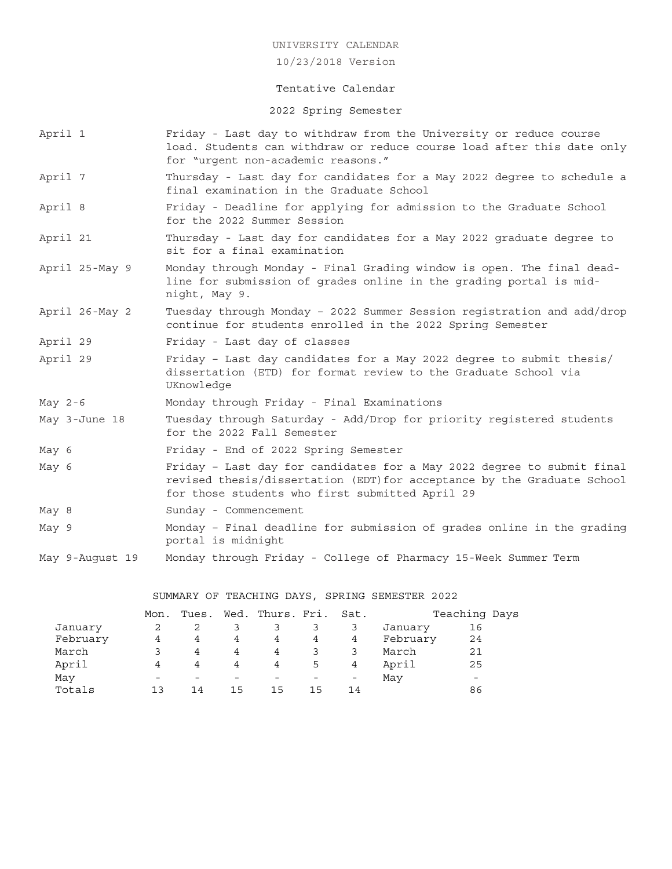10/23/2018 Version

#### Tentative Calendar

2022 Spring Semester

- April 1 Friday Last day to withdraw from the University or reduce course load. Students can withdraw or reduce course load after this date only for "urgent non-academic reasons."
- April 7 Thursday Last day for candidates for a May 2022 degree to schedule a final examination in the Graduate School
- April 8 Friday Deadline for applying for admission to the Graduate School for the 2022 Summer Session
- April 21 Thursday Last day for candidates for a May 2022 graduate degree to sit for a final examination
- April 25-May 9 Monday through Monday Final Grading window is open. The final deadline for submission of grades online in the grading portal is midnight, May 9.
- April 26-May 2 Tuesday through Monday 2022 Summer Session registration and add/drop continue for students enrolled in the 2022 Spring Semester
- April 29 Friday Last day of classes
- April 29 Friday Last day candidates for a May 2022 degree to submit thesis/ dissertation (ETD) for format review to the Graduate School via UKnowledge
- May 2-6 Monday through Friday Final Examinations
- May 3-June 18 Tuesday through Saturday Add/Drop for priority registered students for the 2022 Fall Semester
- May 6 Friday End of 2022 Spring Semester
- May 6 Friday Last day for candidates for a May 2022 degree to submit final revised thesis/dissertation (EDT)for acceptance by the Graduate School for those students who first submitted April 29
- May 8 Sunday Commencement
- May 9 Monday Final deadline for submission of grades online in the grading portal is midnight
- May 9-August 19 Monday through Friday College of Pharmacy 15-Week Summer Term

SUMMARY OF TEACHING DAYS, SPRING SEMESTER 2022

|          | Mon.            |                |    | Tues. Wed. Thurs. Fri. Sat. |    |    |          | Teaching Days            |  |
|----------|-----------------|----------------|----|-----------------------------|----|----|----------|--------------------------|--|
| January  |                 |                |    |                             |    |    | January  | 16                       |  |
| February | 4               | $\overline{4}$ | 4  | 4                           | 4  | 4  | February | 24                       |  |
| March    |                 | 4              | 4  | 4                           |    |    | March    | 21                       |  |
| April    | 4               | 4              | 4  | 4                           | 5  | 4  | April    | 25                       |  |
| May      | $\qquad \qquad$ |                |    |                             |    |    | May      | $\overline{\phantom{0}}$ |  |
| Totals   | ่ 1 ว           | 14             | 15 | 15                          | 15 | 14 |          | 86                       |  |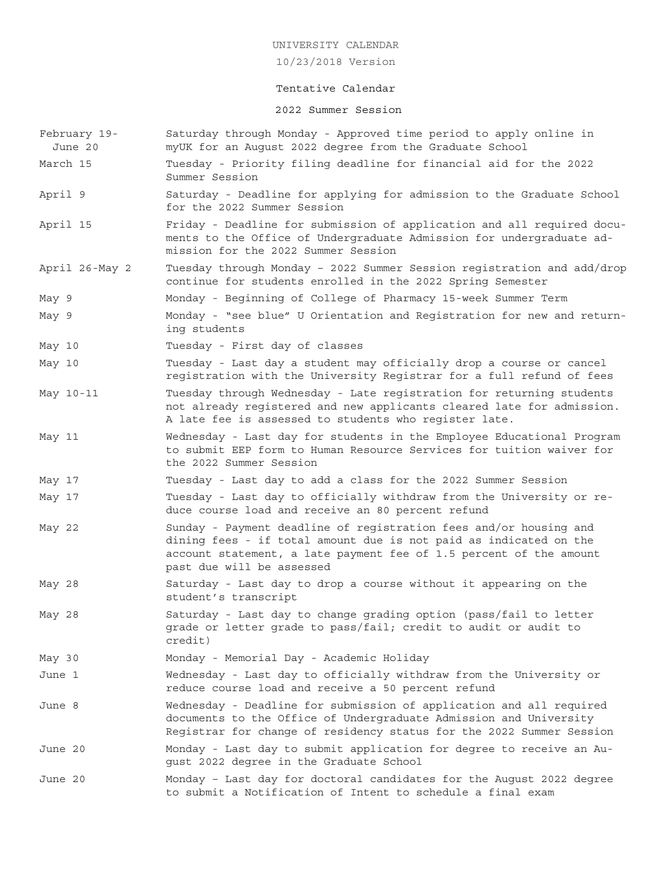10/23/2018 Version

# Tentative Calendar

# 2022 Summer Session

| February 19-<br>June 20 | Saturday through Monday - Approved time period to apply online in<br>myUK for an August 2022 degree from the Graduate School                                                                                                              |
|-------------------------|-------------------------------------------------------------------------------------------------------------------------------------------------------------------------------------------------------------------------------------------|
| March 15                | Tuesday - Priority filing deadline for financial aid for the 2022<br>Summer Session                                                                                                                                                       |
| April 9                 | Saturday - Deadline for applying for admission to the Graduate School<br>for the 2022 Summer Session                                                                                                                                      |
| April 15                | Friday - Deadline for submission of application and all required docu-<br>ments to the Office of Undergraduate Admission for undergraduate ad-<br>mission for the 2022 Summer Session                                                     |
| April 26-May 2          | Tuesday through Monday - 2022 Summer Session registration and add/drop<br>continue for students enrolled in the 2022 Spring Semester                                                                                                      |
| May 9                   | Monday - Beginning of College of Pharmacy 15-week Summer Term                                                                                                                                                                             |
| May 9                   | Monday - "see blue" U Orientation and Registration for new and return-<br>ing students                                                                                                                                                    |
| May 10                  | Tuesday - First day of classes                                                                                                                                                                                                            |
| May 10                  | Tuesday - Last day a student may officially drop a course or cancel<br>registration with the University Registrar for a full refund of fees                                                                                               |
| May 10-11               | Tuesday through Wednesday - Late registration for returning students<br>not already registered and new applicants cleared late for admission.<br>A late fee is assessed to students who register late.                                    |
| May 11                  | Wednesday - Last day for students in the Employee Educational Program<br>to submit EEP form to Human Resource Services for tuition waiver for<br>the 2022 Summer Session                                                                  |
| May 17                  | Tuesday - Last day to add a class for the 2022 Summer Session                                                                                                                                                                             |
| May 17                  | Tuesday - Last day to officially withdraw from the University or re-<br>duce course load and receive an 80 percent refund                                                                                                                 |
| May 22                  | Sunday - Payment deadline of registration fees and/or housing and<br>dining fees - if total amount due is not paid as indicated on the<br>account statement, a late payment fee of 1.5 percent of the amount<br>past due will be assessed |
| May 28                  | Saturday - Last day to drop a course without it appearing on the<br>student's transcript                                                                                                                                                  |
| May 28                  | Saturday - Last day to change grading option (pass/fail to letter<br>grade or letter grade to pass/fail; credit to audit or audit to<br>credit)                                                                                           |
| May 30                  | Monday - Memorial Day - Academic Holiday                                                                                                                                                                                                  |
| June 1                  | Wednesday - Last day to officially withdraw from the University or<br>reduce course load and receive a 50 percent refund                                                                                                                  |
| June 8                  | Wednesday - Deadline for submission of application and all required<br>documents to the Office of Undergraduate Admission and University<br>Registrar for change of residency status for the 2022 Summer Session                          |
| June 20                 | Monday - Last day to submit application for degree to receive an Au-<br>gust 2022 degree in the Graduate School                                                                                                                           |
| June 20                 | Monday - Last day for doctoral candidates for the August 2022 degree<br>to submit a Notification of Intent to schedule a final exam                                                                                                       |